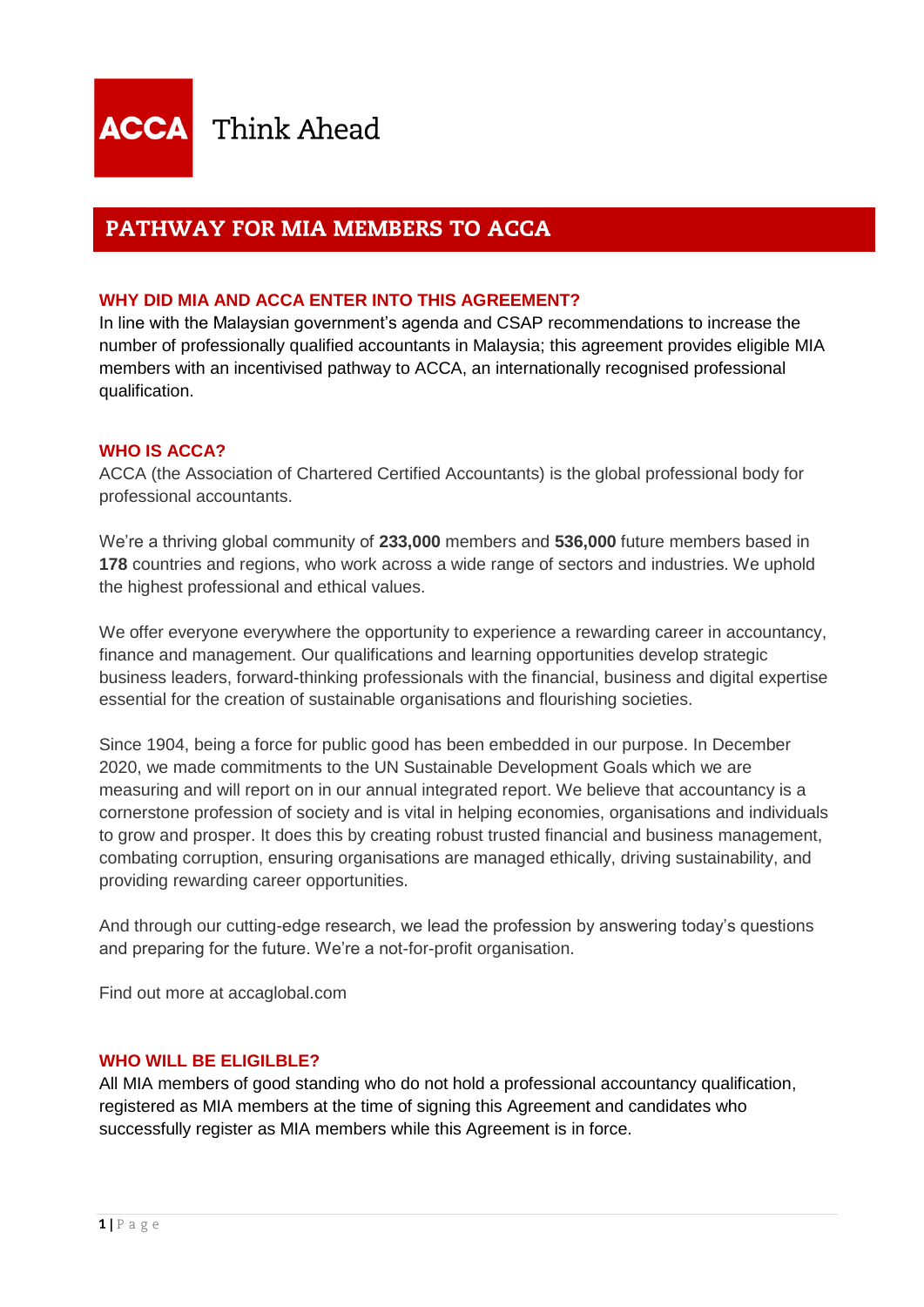# PATHWAY FOR MIA MEMBERS TO ACCA

# **WHY DID MIA AND ACCA ENTER INTO THIS AGREEMENT?**

In line with the Malaysian government's agenda and CSAP recommendations to increase the number of professionally qualified accountants in Malaysia; this agreement provides eligible MIA members with an incentivised pathway to ACCA, an internationally recognised professional qualification.

# **WHO IS ACCA?**

ACCA (the Association of Chartered Certified Accountants) is the global professional body for professional accountants.

We're a thriving global community of **233,000** members and **536,000** future members based in **178** countries and regions, who work across a wide range of sectors and industries. We uphold the highest professional and ethical values.

We offer everyone everywhere the opportunity to experience a rewarding career in accountancy, finance and management. Our qualifications and learning opportunities develop strategic business leaders, forward-thinking professionals with the financial, business and digital expertise essential for the creation of sustainable organisations and flourishing societies.

Since 1904, being a force for public good has been embedded in our purpose. In December 2020, we made commitments to the UN Sustainable Development Goals which we are measuring and will report on in our annual integrated report. We believe that accountancy is a cornerstone profession of society and is vital in helping economies, organisations and individuals to grow and prosper. It does this by creating robust trusted financial and business management, combating corruption, ensuring organisations are managed ethically, driving sustainability, and providing rewarding career opportunities.

And through our cutting-edge research, we lead the profession by answering today's questions and preparing for the future. We're a not-for-profit organisation.

Find out more at accaglobal.com

# **WHO WILL BE ELIGILBLE?**

All MIA members of good standing who do not hold a professional accountancy qualification, registered as MIA members at the time of signing this Agreement and candidates who successfully register as MIA members while this Agreement is in force.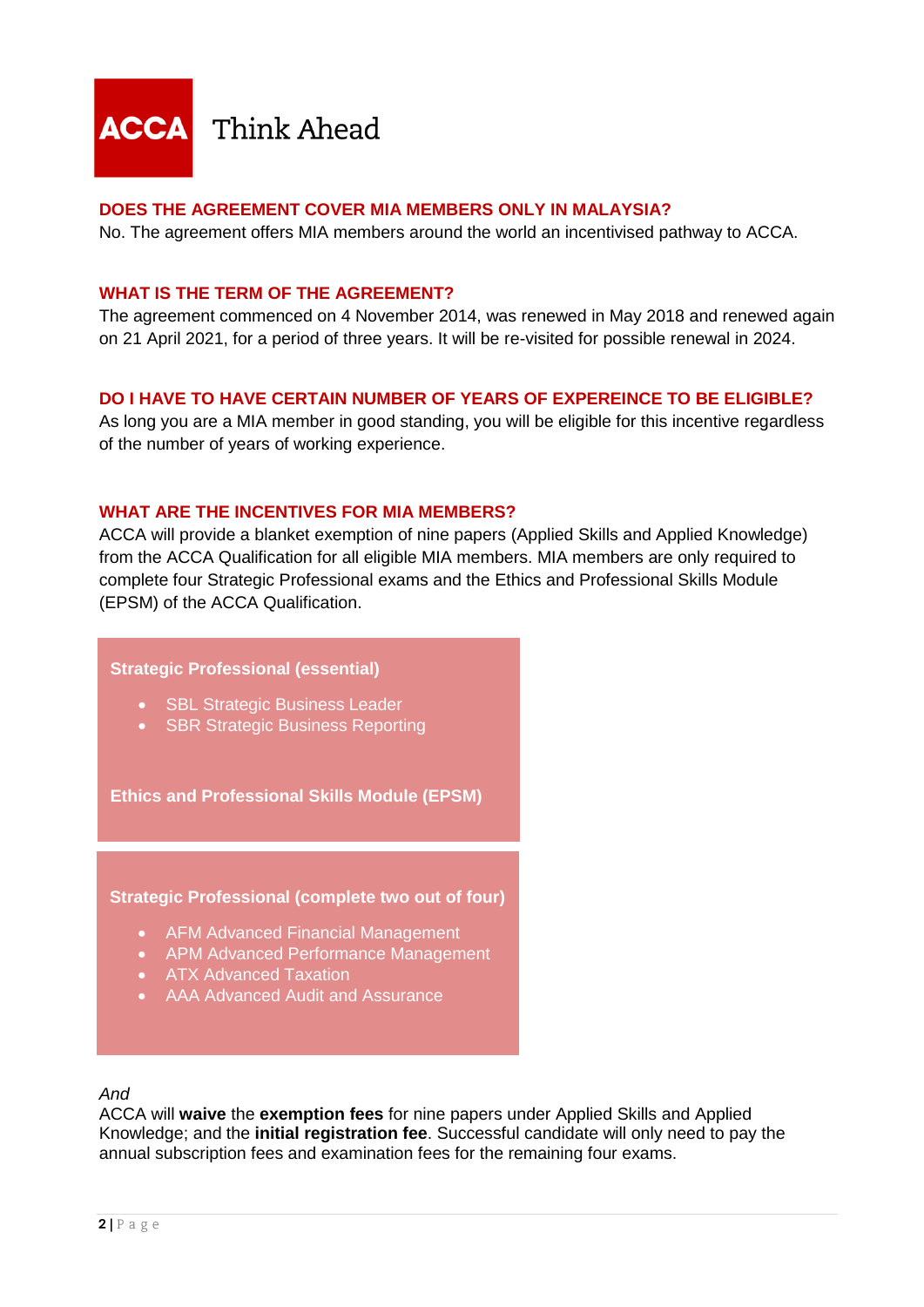

# **DOES THE AGREEMENT COVER MIA MEMBERS ONLY IN MALAYSIA?**

No. The agreement offers MIA members around the world an incentivised pathway to ACCA.

### **WHAT IS THE TERM OF THE AGREEMENT?**

The agreement commenced on 4 November 2014, was renewed in May 2018 and renewed again on 21 April 2021, for a period of three years. It will be re-visited for possible renewal in 2024.

# **DO I HAVE TO HAVE CERTAIN NUMBER OF YEARS OF EXPEREINCE TO BE ELIGIBLE?**

As long you are a MIA member in good standing, you will be eligible for this incentive regardless of the number of years of working experience.

#### **WHAT ARE THE INCENTIVES FOR MIA MEMBERS?**

ACCA will provide a blanket exemption of nine papers (Applied Skills and Applied Knowledge) from the ACCA Qualification for all eligible MIA members. MIA members are only required to complete four Strategic Professional exams and the Ethics and Professional Skills Module (EPSM) of the ACCA Qualification.

#### **Strategic Professional (essential)**

- **SBL Strategic Business Leader**
- SBR Strategic Business Reporting

**Ethics and Professional Skills Module (EPSM)**

#### **Strategic Professional (complete two out of four)**

- AFM Advanced Financial Management
- APM Advanced Performance Management
- ATX Advanced Taxation
- AAA Advanced Audit and Assurance

#### *And*

ACCA will **waive** the **exemption fees** for nine papers under Applied Skills and Applied Knowledge; and the **initial registration fee**. Successful candidate will only need to pay the annual subscription fees and examination fees for the remaining four exams.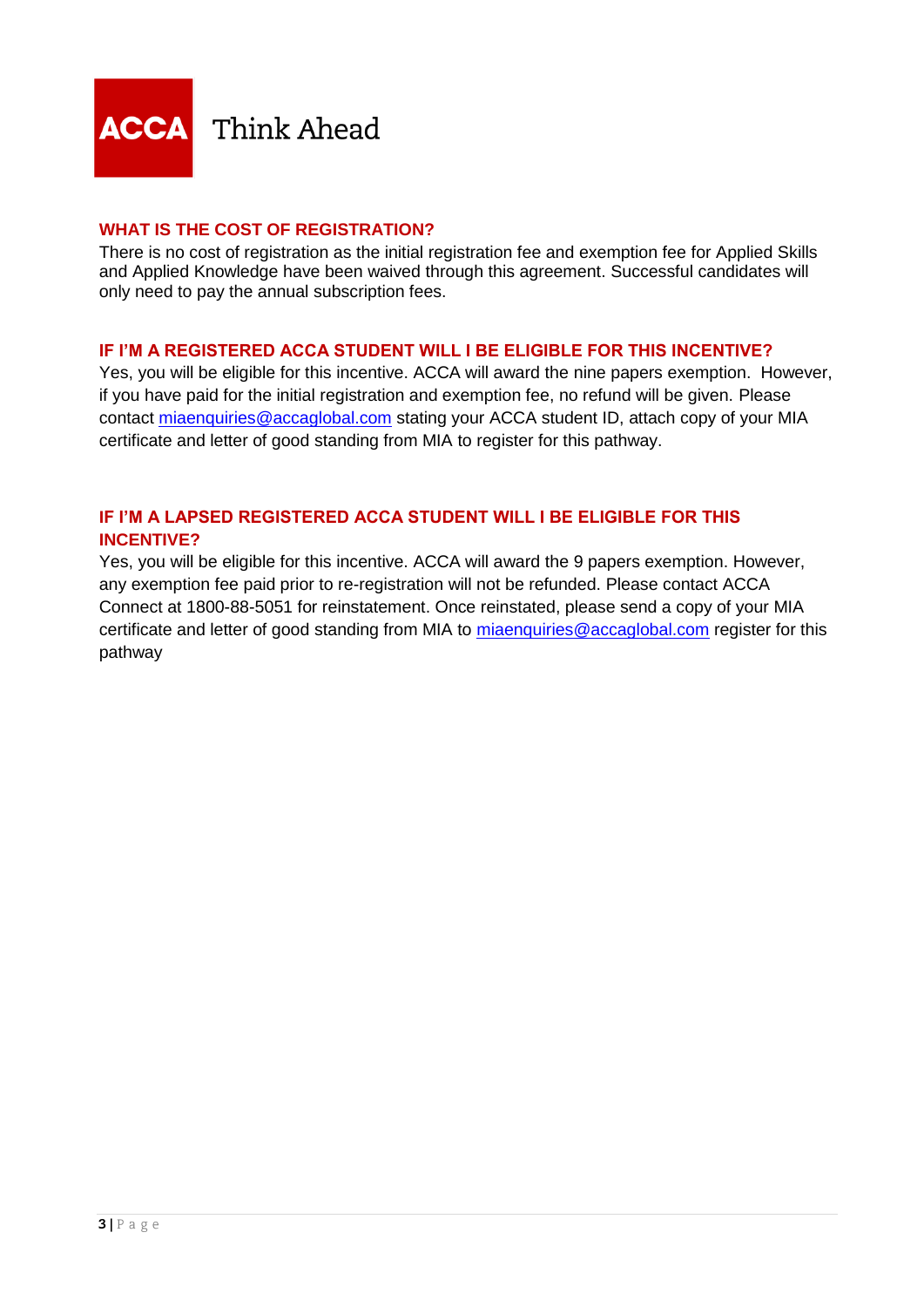

# **WHAT IS THE COST OF REGISTRATION?**

There is no cost of registration as the initial registration fee and exemption fee for Applied Skills and Applied Knowledge have been waived through this agreement. Successful candidates will only need to pay the annual subscription fees.

# **IF I'M A REGISTERED ACCA STUDENT WILL I BE ELIGIBLE FOR THIS INCENTIVE?**

Yes, you will be eligible for this incentive. ACCA will award the nine papers exemption. However, if you have paid for the initial registration and exemption fee, no refund will be given. Please contact [miaenquiries@accaglobal.com](mailto:miaenquiries@accaglobal.com) stating your ACCA student ID, attach copy of your MIA certificate and letter of good standing from MIA to register for this pathway.

# **IF I'M A LAPSED REGISTERED ACCA STUDENT WILL I BE ELIGIBLE FOR THIS INCENTIVE?**

Yes, you will be eligible for this incentive. ACCA will award the 9 papers exemption. However, any exemption fee paid prior to re-registration will not be refunded. Please contact ACCA Connect at 1800-88-5051 for reinstatement. Once reinstated, please send a copy of your MIA certificate and letter of good standing from MIA to [miaenquiries@accaglobal.com](mailto:miaenquiries@accaglobal.com) register for this pathway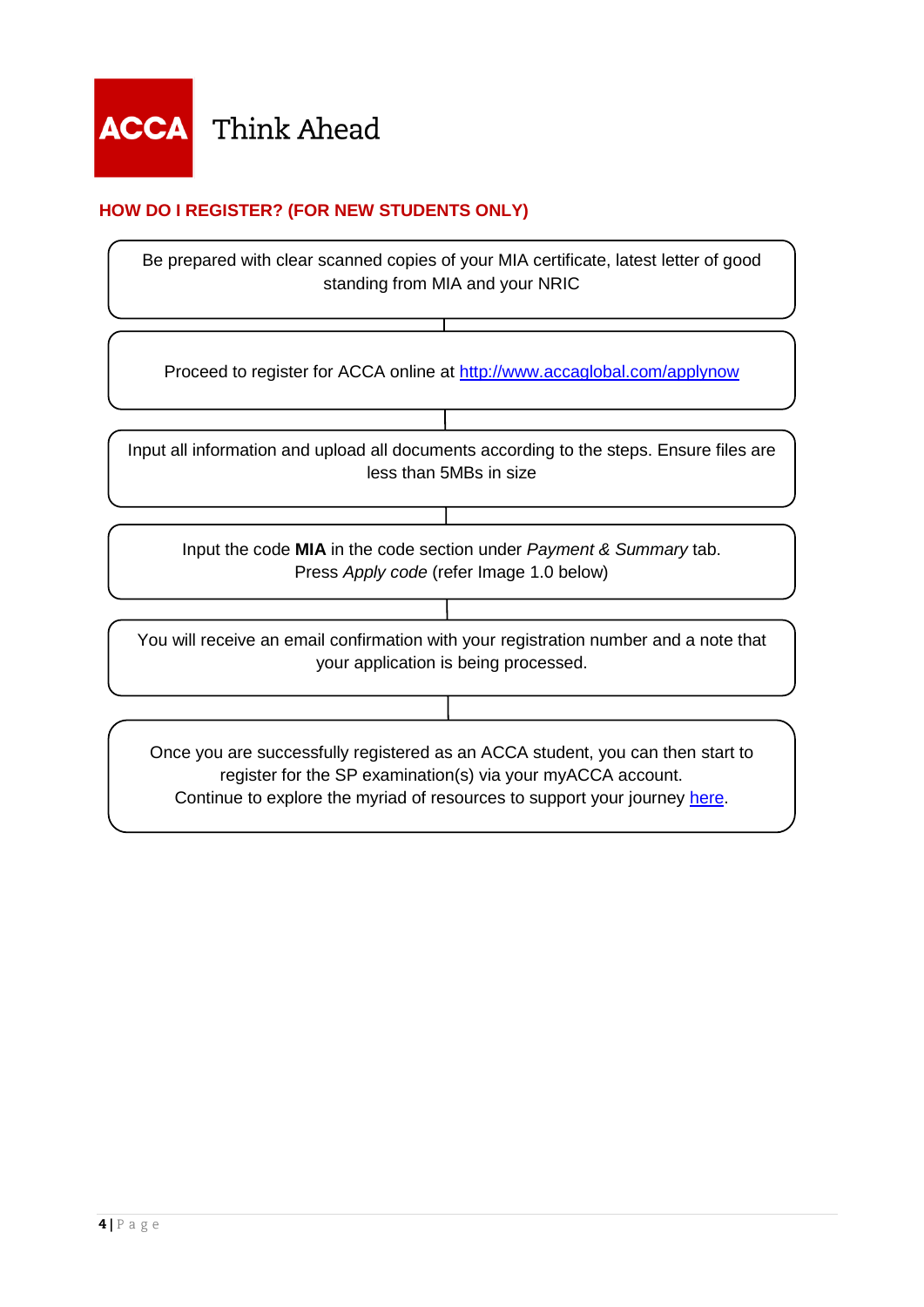# **HOW DO I REGISTER? (FOR NEW STUDENTS ONLY)**

Be prepared with clear scanned copies of your MIA certificate, latest letter of good standing from MIA and your NRIC

Proceed to register for ACCA online at<http://www.accaglobal.com/applynow>

Input all information and upload all documents according to the steps. Ensure files are less than 5MBs in size

Input the code **MIA** in the code section under *Payment & Summary* tab. Press *Apply code* (refer Image 1.0 below)

You will receive an email confirmation with your registration number and a note that your application is being processed.

Once you are successfully registered as an ACCA student, you can then start to register for the SP examination(s) via your myACCA account. Continue to explore the myriad of resources to support your journey [here.](https://www.accaglobal.com/gb/en/student/exam-support-resources.html)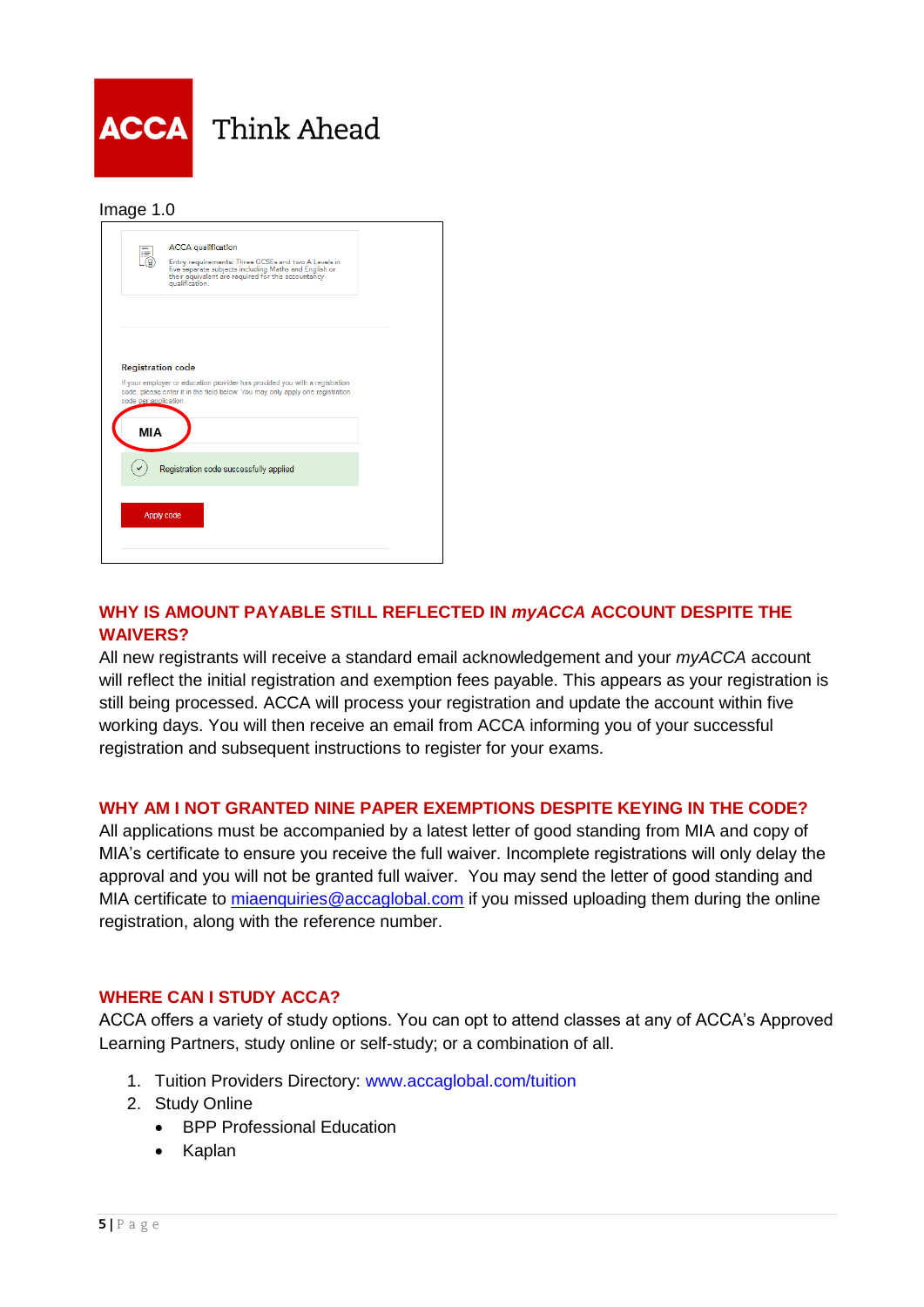

#### Image 1.0

|                                                   | <b>ACCA</b> qualification<br>Entry requirements: Three GCSEs and two A Levels in<br>five separate subjects including Maths and English or<br>their equivalent are required for this accountancy<br>qualification. |  |
|---------------------------------------------------|-------------------------------------------------------------------------------------------------------------------------------------------------------------------------------------------------------------------|--|
|                                                   |                                                                                                                                                                                                                   |  |
| <b>Registration code</b><br>code per application. | If your employer or education provider has provided you with a registration<br>code, please enter it in the field below. You may only apply one registration                                                      |  |
| <b>MIA</b>                                        |                                                                                                                                                                                                                   |  |
|                                                   | Registration code successfully applied                                                                                                                                                                            |  |
| Apply code                                        |                                                                                                                                                                                                                   |  |
|                                                   |                                                                                                                                                                                                                   |  |

# **WHY IS AMOUNT PAYABLE STILL REFLECTED IN** *myACCA* **ACCOUNT DESPITE THE WAIVERS?**

All new registrants will receive a standard email acknowledgement and your *myACCA* account will reflect the initial registration and exemption fees payable. This appears as your registration is still being processed. ACCA will process your registration and update the account within five working days. You will then receive an email from ACCA informing you of your successful registration and subsequent instructions to register for your exams.

# **WHY AM I NOT GRANTED NINE PAPER EXEMPTIONS DESPITE KEYING IN THE CODE?**

All applications must be accompanied by a latest letter of good standing from MIA and copy of MIA's certificate to ensure you receive the full waiver. Incomplete registrations will only delay the approval and you will not be granted full waiver. You may send the letter of good standing and MIA certificate to [miaenquiries@accaglobal.com](mailto:miaenquiries@accaglobal.com) if you missed uploading them during the online registration, along with the reference number.

# **WHERE CAN I STUDY ACCA?**

ACCA offers a variety of study options. You can opt to attend classes at any of ACCA's Approved Learning Partners, study online or self-study; or a combination of all.

- 1. Tuition Providers Directory: [www.accaglobal.com/tuition](http://www.accaglobal.com/tuition)
- 2. Study Online
	- BPP Professional Education
	- Kaplan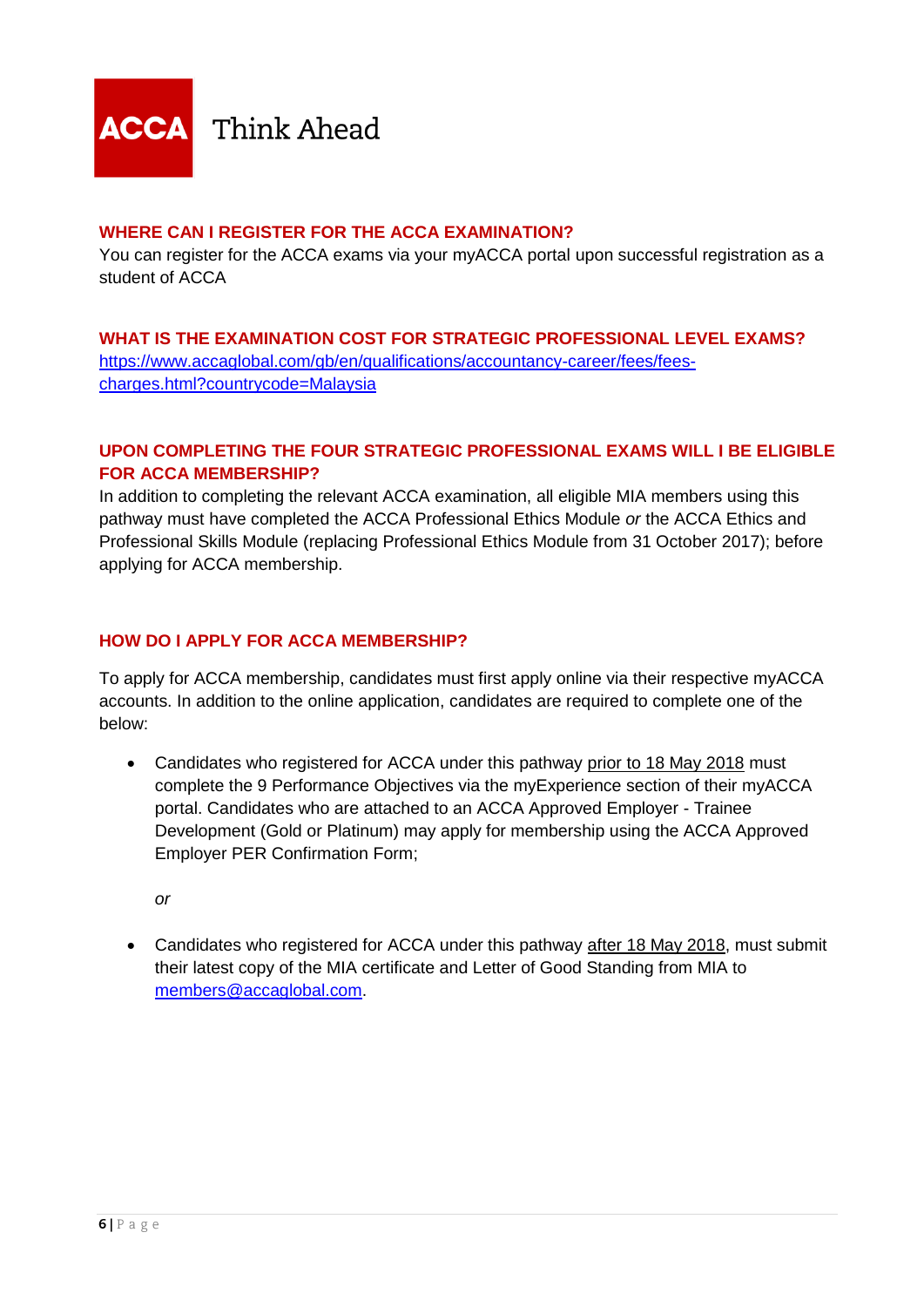

### **WHERE CAN I REGISTER FOR THE ACCA EXAMINATION?**

You can register for the ACCA exams via your myACCA portal upon successful registration as a student of ACCA

# **WHAT IS THE EXAMINATION COST FOR STRATEGIC PROFESSIONAL LEVEL EXAMS?** [https://www.accaglobal.com/gb/en/qualifications/accountancy-career/fees/fees](https://www.accaglobal.com/gb/en/qualifications/accountancy-career/fees/fees-charges.html?countrycode=Malaysia)[charges.html?countrycode=Malaysia](https://www.accaglobal.com/gb/en/qualifications/accountancy-career/fees/fees-charges.html?countrycode=Malaysia)

# **UPON COMPLETING THE FOUR STRATEGIC PROFESSIONAL EXAMS WILL I BE ELIGIBLE FOR ACCA MEMBERSHIP?**

In addition to completing the relevant ACCA examination, all eligible MIA members using this pathway must have completed the ACCA Professional Ethics Module *or* the ACCA Ethics and Professional Skills Module (replacing Professional Ethics Module from 31 October 2017); before applying for ACCA membership.

# **HOW DO I APPLY FOR ACCA MEMBERSHIP?**

To apply for ACCA membership, candidates must first apply online via their respective myACCA accounts. In addition to the online application, candidates are required to complete one of the below:

• Candidates who registered for ACCA under this pathway prior to 18 May 2018 must complete the 9 Performance Objectives via the myExperience section of their myACCA portal. Candidates who are attached to an ACCA Approved Employer - Trainee Development (Gold or Platinum) may apply for membership using the ACCA Approved Employer PER Confirmation Form;

*or*

• Candidates who registered for ACCA under this pathway after 18 May 2018, must submit their latest copy of the MIA certificate and Letter of Good Standing from MIA to [members@accaglobal.com.](mailto:members@accaglobal.com)